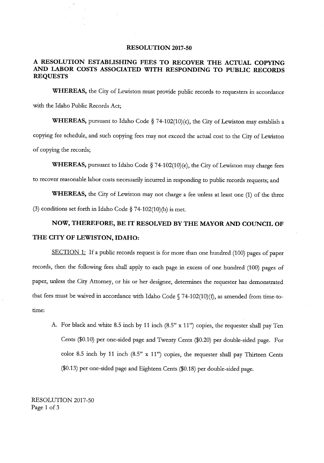## **RESOLUTION 2017-50**

## A RESOLUTION ESTABLISHING FEES TO RECOVER THE ACTUAL COPYING AND LABOR COSTS ASSOCIATED WITH RESPONDING TO PUBLIC RECORDS REQUESTS

WHEREAS, the City of Lewiston must provide public records to requesters in accordance with the Idaho Public Records Act;

WHEREAS, pursuant to Idaho Code  $\S$  74-102(10)(c), the City of Lewiston may establish a copying fee schedule, and such copying fees may not exceed the actual cost to the City of Lewiston of copying the records;

WHEREAS, pursuant to Idaho Code § 74-102(10)(e), the City of Lewiston may charge fees to recover reasonable labor costs necessarily incurred in responding to public records requests; and

WHEREAS, the City of Lewiston may not charge a fee unless at least one (1) of the three (3) conditions set forth in Idaho Code  $\S$  74-102(10)(b) is met.

## NOW, THEREFORE, BE IT RESOLVED BY THE MAYOR AND COUNCIL OF THE CITY OF LEWISTON, IDAHO:

SECTION 1: If a public records request is for more than one hundred (100) pages of paper records, then the following fees shall apply to each page in excess of one hundred (100) pages of paper, unless the City Attorney, or his or her designee, determines the requester has demonstrated that fees must be waived in accordance with Idaho Code  $\S$  74-102(10)(f), as amended from time-totime:

A. For black and white 8.5 inch by 11 inch (8.5" x 11") copies, the requester shall pay Ten Cents (\$0.10) per one-sided page and Twenty Cents (\$0.20) per double-sided page. For color 8.5 inch by 11 inch  $(8.5" x 11")$  copies, the requester shall pay Thirteen Cents  $($0.13)$  per one-sided page and Eighteen Cents  $($0.18)$  per double-sided page.

RESOLUTION 2017-50 Page <sup>1</sup> of <sup>3</sup>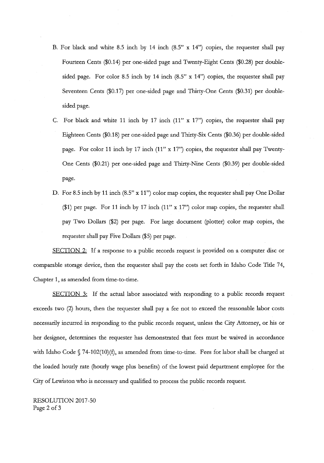- B. For black and white 8.5 inch by 14 inch  $(8.5" \times 14")$  copies, the requester shall pay Fourteen Cents (\$0.14) per one-sided page and Twenty-Eight Cents (\$0.28) per doublesided page. For color 8.5 inch by 14 inch  $(8.5" \times 14")$  copies, the requester shall pay Seventeen Cents (\$0.17) per one-sided page and Thirty-One Cents (\$0.31) per doublesided page.
- C. For black and white 11 inch by 17 inch  $(11" x 17")$  copies, the requester shall pay Eighteen Cents (\$0.18) per one-sided page and Thirty-Six Cents (\$0.36) per double-sided page. For color 11 inch by 17 inch (11" x 17") copies, the requester shall pay Twenty-One Cents (\$0.21) per one-sided page and Thirty-Nine Cents (\$0.39) per double-sided page.
- D. For 8.5 inch by 11 inch  $(8.5" \times 11")$  color map copies, the requester shall pay One Dollar  $$1)$  per page. For 11 inch by 17 inch (11" x 17") color map copies, the requester shall pay Two Dollars (\$2) per page. For large document (plotter) color map copies, the requester shall pay Five Dollars (\$5) per page.

SECTION 2: If a response to a public records request is provided on a computer disc or comparable storage device, then the requester shall pay the costs set forth in Idaho Code Title 74, Chapter 1, as amended from time -to -time.

SECTION 3: If the actual labor associated with responding to a public records request exceeds two  $(2)$  hours, then the requester shall pay a fee not to exceed the reasonable labor costs necessarily incurred in responding to the public records request, unless the City Attorney, or his or her designee, determines the requester has demonstrated that fees must be waived in accordance with Idaho Code  $\sqrt{74-102(10)}$  (f), as amended from time-to-time. Fees for labor shall be charged at the loaded hourly rate (hourly wage plus benefits) of the lowest paid department employee for the City of Lewiston who is necessary and qualified to process the public records request.

RESOLUTION 2017-50 Page <sup>2</sup> of <sup>3</sup>